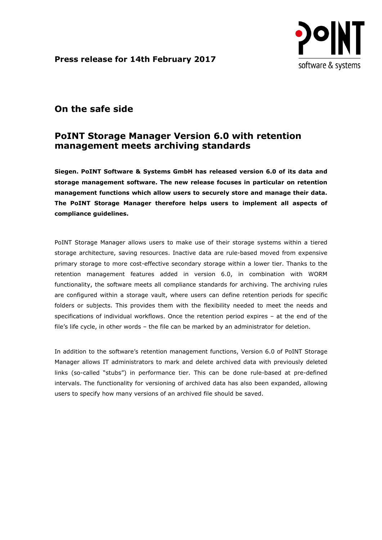**Press release for 14th February 2017**



## **On the safe side**

## **PoINT Storage Manager Version 6.0 with retention management meets archiving standards**

**Siegen. PoINT Software & Systems GmbH has released version 6.0 of its data and storage management software. The new release focuses in particular on retention management functions which allow users to securely store and manage their data. The PoINT Storage Manager therefore helps users to implement all aspects of compliance guidelines.**

PoINT Storage Manager allows users to make use of their storage systems within a tiered storage architecture, saving resources. Inactive data are rule-based moved from expensive primary storage to more cost-effective secondary storage within a lower tier. Thanks to the retention management features added in version 6.0, in combination with WORM functionality, the software meets all compliance standards for archiving. The archiving rules are configured within a storage vault, where users can define retention periods for specific folders or subjects. This provides them with the flexibility needed to meet the needs and specifications of individual workflows. Once the retention period expires – at the end of the file's life cycle, in other words – the file can be marked by an administrator for deletion.

In addition to the software's retention management functions, Version 6.0 of PoINT Storage Manager allows IT administrators to mark and delete archived data with previously deleted links (so-called "stubs") in performance tier. This can be done rule-based at pre-defined intervals. The functionality for versioning of archived data has also been expanded, allowing users to specify how many versions of an archived file should be saved.